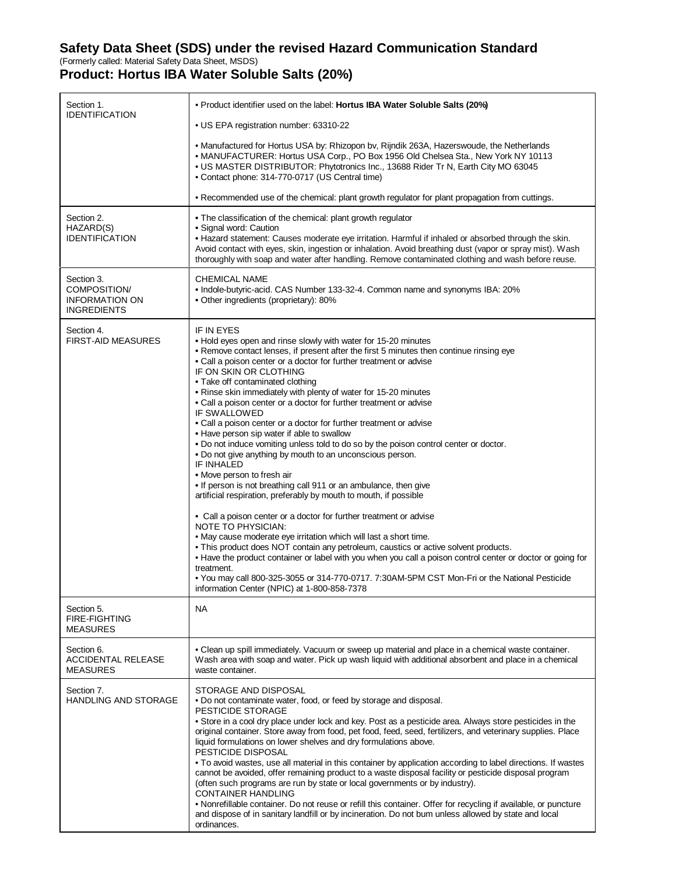## **Safety Data Sheet (SDS) under the revised Hazard Communication Standard**

(Formerly called: Material Safety Data Sheet, MSDS)

## **Product: Hortus IBA Water Soluble Salts (20%)**

| Section 1.<br><b>IDENTIFICATION</b>                                | • Product identifier used on the label: Hortus IBA Water Soluble Salts (20%)                                                                                                                                                                                                                                                                                                                                                                                                                                                                                                                                                                                                                                                                                                                                                                                                                                                                                                                                                                                                                                                                                                                                                                                                                                                                                                                                                                                                                  |
|--------------------------------------------------------------------|-----------------------------------------------------------------------------------------------------------------------------------------------------------------------------------------------------------------------------------------------------------------------------------------------------------------------------------------------------------------------------------------------------------------------------------------------------------------------------------------------------------------------------------------------------------------------------------------------------------------------------------------------------------------------------------------------------------------------------------------------------------------------------------------------------------------------------------------------------------------------------------------------------------------------------------------------------------------------------------------------------------------------------------------------------------------------------------------------------------------------------------------------------------------------------------------------------------------------------------------------------------------------------------------------------------------------------------------------------------------------------------------------------------------------------------------------------------------------------------------------|
|                                                                    | • US EPA registration number: 63310-22                                                                                                                                                                                                                                                                                                                                                                                                                                                                                                                                                                                                                                                                                                                                                                                                                                                                                                                                                                                                                                                                                                                                                                                                                                                                                                                                                                                                                                                        |
|                                                                    | • Manufactured for Hortus USA by: Rhizopon by, Rijndik 263A, Hazerswoude, the Netherlands<br>. MANUFACTURER: Hortus USA Corp., PO Box 1956 Old Chelsea Sta., New York NY 10113<br>. US MASTER DISTRIBUTOR: Phytotronics Inc., 13688 Rider Tr N, Earth City MO 63045<br>• Contact phone: 314-770-0717 (US Central time)                                                                                                                                                                                                                                                                                                                                                                                                                                                                                                                                                                                                                                                                                                                                                                                                                                                                                                                                                                                                                                                                                                                                                                        |
|                                                                    | • Recommended use of the chemical: plant growth regulator for plant propagation from cuttings.                                                                                                                                                                                                                                                                                                                                                                                                                                                                                                                                                                                                                                                                                                                                                                                                                                                                                                                                                                                                                                                                                                                                                                                                                                                                                                                                                                                                |
| Section 2.<br>HAZARD(S)<br><b>IDENTIFICATION</b>                   | • The classification of the chemical: plant growth regulator<br>• Signal word: Caution<br>• Hazard statement: Causes moderate eye irritation. Harmful if inhaled or absorbed through the skin.<br>Avoid contact with eyes, skin, ingestion or inhalation. Avoid breathing dust (vapor or spray mist). Wash<br>thoroughly with soap and water after handling. Remove contaminated clothing and wash before reuse.                                                                                                                                                                                                                                                                                                                                                                                                                                                                                                                                                                                                                                                                                                                                                                                                                                                                                                                                                                                                                                                                              |
| Section 3.<br>COMPOSITION/<br>INFORMATION ON<br><b>INGREDIENTS</b> | <b>CHEMICAL NAME</b><br>• Indole-butyric-acid. CAS Number 133-32-4. Common name and synonyms IBA: 20%<br>• Other ingredients (proprietary): 80%                                                                                                                                                                                                                                                                                                                                                                                                                                                                                                                                                                                                                                                                                                                                                                                                                                                                                                                                                                                                                                                                                                                                                                                                                                                                                                                                               |
| Section 4.<br><b>FIRST-AID MEASURES</b>                            | <b>IF IN EYES</b><br>. Hold eyes open and rinse slowly with water for 15-20 minutes<br>• Remove contact lenses, if present after the first 5 minutes then continue rinsing eye<br>• Call a poison center or a doctor for further treatment or advise<br>IF ON SKIN OR CLOTHING<br>• Take off contaminated clothing<br>. Rinse skin immediately with plenty of water for 15-20 minutes<br>• Call a poison center or a doctor for further treatment or advise<br>IF SWALLOWED<br>• Call a poison center or a doctor for further treatment or advise<br>• Have person sip water if able to swallow<br>. Do not induce vomiting unless told to do so by the poison control center or doctor.<br>. Do not give anything by mouth to an unconscious person.<br><b>IF INHALED</b><br>• Move person to fresh air<br>. If person is not breathing call 911 or an ambulance, then give<br>artificial respiration, preferably by mouth to mouth, if possible<br>• Call a poison center or a doctor for further treatment or advise<br><b>NOTE TO PHYSICIAN:</b><br>. May cause moderate eye irritation which will last a short time.<br>. This product does NOT contain any petroleum, caustics or active solvent products.<br>• Have the product container or label with you when you call a poison control center or doctor or going for<br>treatment.<br>• You may call 800-325-3055 or 314-770-0717. 7:30AM-5PM CST Mon-Fri or the National Pesticide<br>information Center (NPIC) at 1-800-858-7378 |
| Section 5.<br><b>FIRE-FIGHTING</b><br><b>MEASURES</b>              | NA                                                                                                                                                                                                                                                                                                                                                                                                                                                                                                                                                                                                                                                                                                                                                                                                                                                                                                                                                                                                                                                                                                                                                                                                                                                                                                                                                                                                                                                                                            |
| Section 6.<br><b>ACCIDENTAL RELEASE</b><br><b>MEASURES</b>         | . Clean up spill immediately. Vacuum or sweep up material and place in a chemical waste container.<br>Wash area with soap and water. Pick up wash liquid with additional absorbent and place in a chemical<br>waste container.                                                                                                                                                                                                                                                                                                                                                                                                                                                                                                                                                                                                                                                                                                                                                                                                                                                                                                                                                                                                                                                                                                                                                                                                                                                                |
| Section 7.<br><b>HANDLING AND STORAGE</b>                          | STORAGE AND DISPOSAL<br>. Do not contaminate water, food, or feed by storage and disposal.<br>PESTICIDE STORAGE<br>• Store in a cool dry place under lock and key. Post as a pesticide area. Always store pesticides in the<br>original container. Store away from food, pet food, feed, seed, fertilizers, and veterinary supplies. Place<br>liquid formulations on lower shelves and dry formulations above.<br>PESTICIDE DISPOSAL<br>• To avoid wastes, use all material in this container by application according to label directions. If wastes<br>cannot be avoided, offer remaining product to a waste disposal facility or pesticide disposal program<br>(often such programs are run by state or local governments or by industry).<br><b>CONTAINER HANDLING</b><br>• Nonrefillable container. Do not reuse or refill this container. Offer for recycling if available, or puncture<br>and dispose of in sanitary landfill or by incineration. Do not bum unless allowed by state and local<br>ordinances.                                                                                                                                                                                                                                                                                                                                                                                                                                                                          |